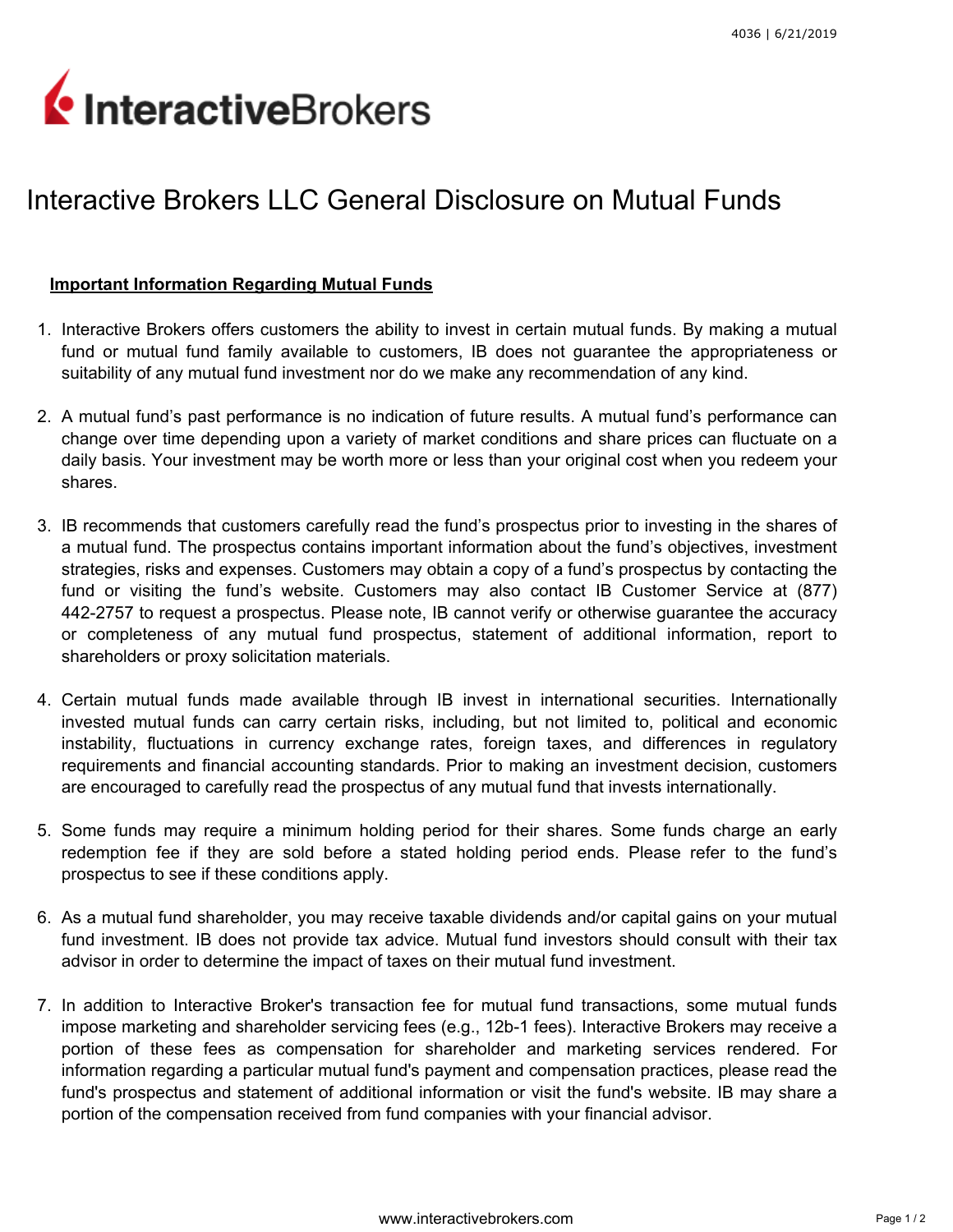## InteractiveBrokers

## Interactive Brokers LLC General Disclosure on Mutual Funds

## Important Information Regarding Mutual Funds

- 1. Interactive Brokers offers customers the ability to invest in certain mutual funds. By making a mutual fund or mutual fund family available to customers, IB does not guarantee the appropriateness or suitability of any mutual fund investment nor do we make any recommendation of any kind.
- 2. A mutual fund's past performance is no indication of future results. A mutual fund's performance can change over time depending upon a variety of market conditions and share prices can fluctuate on a daily basis. Your investment may be worth more or less than your original cost when you redeem your shares.
- 3. IB recommends that customers carefully read the fund's prospectus prior to investing in the shares of a mutual fund. The prospectus contains important information about the fund's objectives, investment strategies, risks and expenses. Customers may obtain a copy of a fund's prospectus by contacting the fund or visiting the fund's website. Customers may also contact IB Customer Service at (877) 442-2757 to request a prospectus. Please note, IB cannot verify or otherwise guarantee the accuracy or completeness of any mutual fund prospectus, statement of additional information, report to shareholders or proxy solicitation materials.
- 4. Certain mutual funds made available through IB invest in international securities. Internationally invested mutual funds can carry certain risks, including, but not limited to, political and economic instability, fluctuations in currency exchange rates, foreign taxes, and differences in regulatory requirements and financial accounting standards. Prior to making an investment decision, customers are encouraged to carefully read the prospectus of any mutual fund that invests internationally.
- 5. Some funds may require a minimum holding period for their shares. Some funds charge an early redemption fee if they are sold before a stated holding period ends. Please refer to the fund's prospectus to see if these conditions apply.
- 6. As a mutual fund shareholder, you may receive taxable dividends and/or capital gains on your mutual fund investment. IB does not provide tax advice. Mutual fund investors should consult with their tax advisor in order to determine the impact of taxes on their mutual fund investment.
- 7. In addition to Interactive Broker's transaction fee for mutual fund transactions, some mutual funds impose marketing and shareholder servicing fees (e.g., 12b-1 fees). Interactive Brokers may receive a portion of these fees as compensation for shareholder and marketing services rendered. For information regarding a particular mutual fund's payment and compensation practices, please read the fund's prospectus and statement of additional information or visit the fund's website. IB may share a portion of the compensation received from fund companies with your financial advisor.